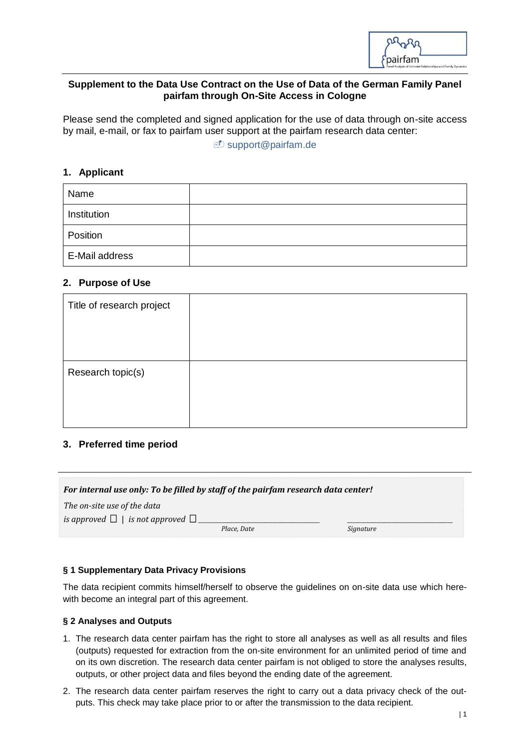

### **Supplement to the Data Use Contract on the Use of Data of the German Family Panel pairfam through On-Site Access in Cologne**

Please send the completed and signed application for the use of data through on-site access by mail, e-mail, or fax to pairfam user support at the pairfam research data center:

*D* [support@pairfam.de](mailto:support@pairfam.de)

# **1. Applicant**

| Name           |  |
|----------------|--|
| Institution    |  |
| Position       |  |
| E-Mail address |  |

## **2. Purpose of Use**

## **3. Preferred time period**

| For internal use only: To be filled by staff of the pairfam research data center! |  |  |  |  |
|-----------------------------------------------------------------------------------|--|--|--|--|
| The on-site use of the data                                                       |  |  |  |  |
| is approved $\Box$   is not approved $\Box$                                       |  |  |  |  |
| Place. Date                                                                       |  |  |  |  |

#### **§ 1 Supplementary Data Privacy Provisions**

The data recipient commits himself/herself to observe the guidelines on on-site data use which herewith become an integral part of this agreement.

#### **§ 2 Analyses and Outputs**

- 1. The research data center pairfam has the right to store all analyses as well as all results and files (outputs) requested for extraction from the on-site environment for an unlimited period of time and on its own discretion. The research data center pairfam is not obliged to store the analyses results, outputs, or other project data and files beyond the ending date of the agreement.
- 2. The research data center pairfam reserves the right to carry out a data privacy check of the outputs. This check may take place prior to or after the transmission to the data recipient.